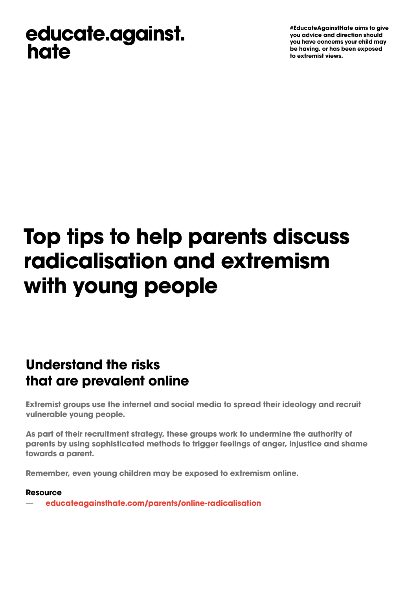## educate.against. hate

**#EducateAgainstHate aims to give you advice and direction should you have concerns your child may be having, or has been exposed to extremist views.** 

# **Top tips to help parents discuss radicalisation and extremism with young people**

### **Understand the risks that are prevalent online**

**Extremist groups use the internet and social media to spread their ideology and recruit vulnerable young people.** 

As part of their recruitment strategy, these groups work to undermine the authority of parents by using sophisticated methods to trigger feelings of anger, injustice and shame **towards a parent.** 

**Remember, even young children may be exposed to extremism online.** 

#### **Resource**

— **[educateagainsthate.com/parents/online-radicalisation](http://educateagainsthate.com/parents/online-radicalisation)**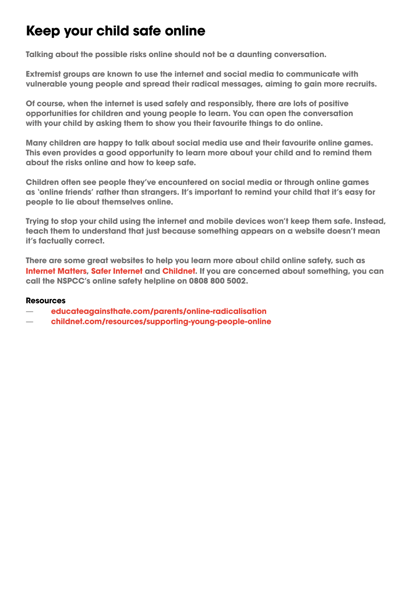### **Keep your child safe online**

**Talking about the possible risks online should not be a daunting conversation.** 

**Extremist groups are known to use the internet and social media to communicate with vulnerable young people and spread their radical messages, aiming to gain more recruits.** 

**Of course, when the internet is used safely and responsibly, there are lots of positive opportunities for children and young people to learn. You can open the conversation with your child by asking them to show you their favourite things to do online.** 

**Many children are happy to talk about social media use and their favourite online games. This even provides a good opportunity to learn more about your child and to remind them about the risks online and how to keep safe.** 

**Children often see people they've encountered on social media or through online games as 'online friends' rather than strangers. It's important to remind your child that it's easy for people to lie about themselves online.** 

**Trying to stop your child using the internet and mobile devices won't keep them safe. Instead, teach them to understand that just because something appears on a website doesn't mean it's factually correct.** 

**There are some great websites to help you learn more about child online safety, such as [Internet Matters,](https://www.internetmatters.org/) [Safer Internet](https://www.saferinternet.org.uk/) and [Childnet.](http://www.childnet.com/) If you are concerned about something, you can call the NSPCC's online safety helpline on 0808 800 5002.** 

#### **Resources**

- **[educateagainsthate.com/parents/online-radicalisation](http://educateagainsthate.com/parents/online-radicalisation)**
- **[childnet.com/resources/supporting-young-people-online](http://www.childnet.com/resources/supporting-young-people-online)**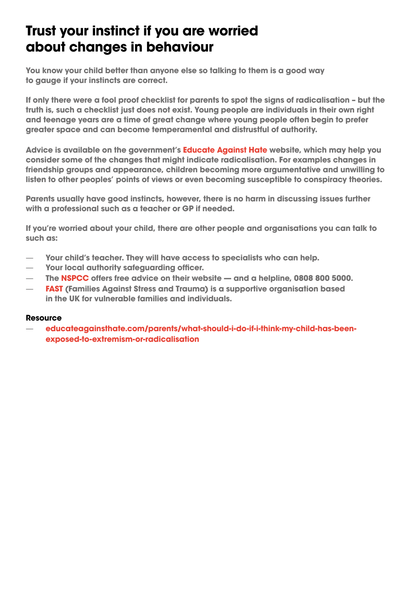### **Trust your instinct if you are worried about changes in behaviour**

**You know your child better than anyone else so talking to them is a good way to gauge if your instincts are correct.** 

**If only there were a fool proof checklist for parents to spot the signs of radicalisation – but the truth is, such a checklist just does not exist. Young people are individuals in their own right and teenage years are a time of great change where young people often begin to prefer greater space and can become temperamental and distrustful of authority.** 

**Advice is available on the government's [Educate Against Hate](https://educateagainsthate.com/) website, which may help you consider some of the changes that might indicate radicalisation. For examples changes in friendship groups and appearance, children becoming more argumentative and unwilling to listen to other peoples' points of views or even becoming susceptible to conspiracy theories.** 

**Parents usually have good instincts, however, there is no harm in discussing issues further with a professional such as a teacher or GP if needed.** 

**If you're worried about your child, there are other people and organisations you can talk to such as:** 

- **Your child's teacher. They will have access to specialists who can help.**
- **Your local authority safeguarding officer.**
- $\frac{-}{-}$ **The [NSPCC](https://www.nspcc.org.uk/what-you-can-do/report-abuse/dedicated-helplines/protecting-children-from-radicalisation) offers free advice on their website — and a helpline, 0808 800 5000.**
- **[FAST](http://familiesmatter.org.uk/) (Families Against Stress and Trauma) is a supportive organisation based in the UK for vulnerable families and individuals.**

#### **Resource**

 **[educateagainsthate.com/parents/what-should-i-do-if-i-think-my-child-has-been](http://educateagainsthate.com/parents/what-should-i-do-if-i-think-my-child-has-been-exposed-to-extremism-or-radicalisation)[exposed-to-extremism-or-radicalisation](http://educateagainsthate.com/parents/what-should-i-do-if-i-think-my-child-has-been-exposed-to-extremism-or-radicalisation)**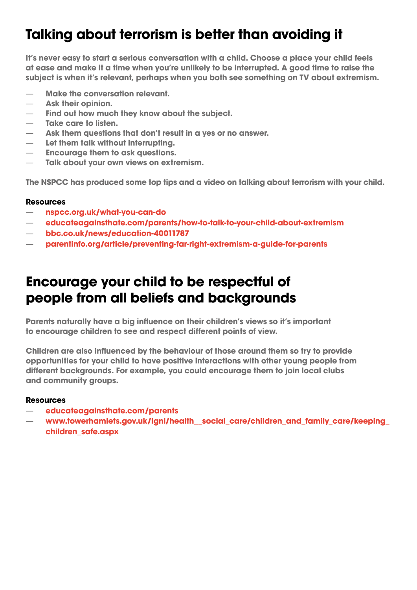### **Talking about terrorism is better than avoiding it**

**It's never easy to start a serious conversation with a child. Choose a place your child feels at ease and make it a time when you're unlikely to be interrupted. A good time to raise the subject is when it's relevant, perhaps when you both see something on TV about extremism.** 

- 
- **Ask their opinion.**
- Make the conversation relevant.<br>— Ask their opinion.<br>— Find out how much they know ab<br>— Take care to listen.<br>— Ask them questions that don't res<br>— Let them talk without interrupting<br>— Encourage them to ask questions<br>— Ta **Find out how much they know about the subject.**
- **Take care to listen.**
- **Ask them questions that don't result in a yes or no answer.**
- **Let them talk without interrupting.**
- **Encourage them to ask questions.**
- **Talk about your own views on extremism.**

**The NSPCC has produced some top tips and a video on talking about terrorism with your child.** 

#### **Resources**

- **[nspcc.org.uk/what-you-can-do](http://nspcc.org.uk/what-you-can-do)**
- **[educateagainsthate.com/parents/how-to-talk-to-your-child-about-extremism](http://educateagainsthate.com/parents/how-to-talk-to-your-child-about-extremism)**
- **[bbc.co.uk/news/education-40011787](http://bbc.co.uk/news/education-40011787)**
- **[parentinfo.org/article/preventing-far-right-extremism-a-guide-for-parents](http://parentinfo.org/article/preventing-far-right-extremism-a-guide-for-parents)**

### **Encourage your child to be respectful of people from all beliefs and backgrounds**

**Parents naturally have a big infuence on their children's views so it's important to encourage children to see and respect different points of view.** 

**Children are also infuenced by the behaviour of those around them so try to provide opportunities for your child to have positive interactions with other young people from different backgrounds. For example, you could encourage them to join local clubs and community groups.** 

#### **Resources**

- **[educateagainsthate.com/parents](https://educateagainsthate.com/parents/)**
- **[www.towerhamlets.gov.uk/lgnl/health\\_\\_social\\_care/children\\_and\\_family\\_care/keeping\\_](www.towerhamlets.gov.uk/lgnl/health__social_care/children_and_family_care/keeping_children_safe.aspx) [children\\_safe.aspx](www.towerhamlets.gov.uk/lgnl/health__social_care/children_and_family_care/keeping_children_safe.aspx)**